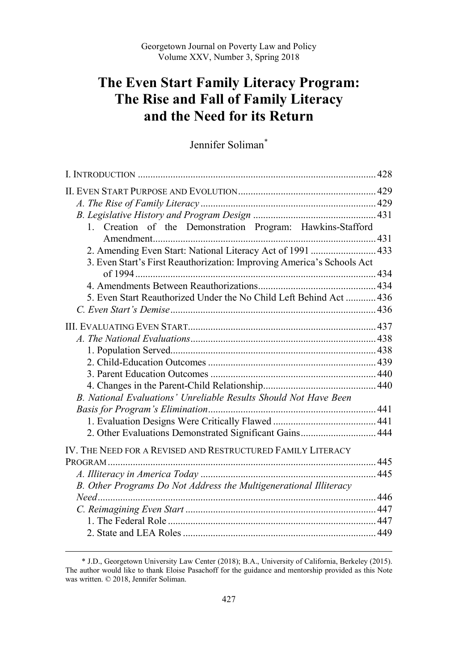# **The Even Start Family Literacy Program: The Rise and Fall of Family Literacy and the Need for its Return**

# Jennifer Soliman\*

| 1. Creation of the Demonstration Program: Hawkins-Stafford             |  |
|------------------------------------------------------------------------|--|
|                                                                        |  |
| 2. Amending Even Start: National Literacy Act of 1991  433             |  |
| 3. Even Start's First Reauthorization: Improving America's Schools Act |  |
|                                                                        |  |
|                                                                        |  |
| 5. Even Start Reauthorized Under the No Child Left Behind Act  436     |  |
|                                                                        |  |
|                                                                        |  |
|                                                                        |  |
|                                                                        |  |
|                                                                        |  |
|                                                                        |  |
|                                                                        |  |
| B. National Evaluations' Unreliable Results Should Not Have Been       |  |
|                                                                        |  |
|                                                                        |  |
| 2. Other Evaluations Demonstrated Significant Gains 444                |  |
|                                                                        |  |
| IV. THE NEED FOR A REVISED AND RESTRUCTURED FAMILY LITERACY            |  |
|                                                                        |  |
|                                                                        |  |
| B. Other Programs Do Not Address the Multigenerational Illiteracy      |  |
|                                                                        |  |
|                                                                        |  |
|                                                                        |  |
|                                                                        |  |

<sup>\*</sup> J.D., Georgetown University Law Center (2018); B.A., University of California, Berkeley (2015). The author would like to thank Eloise Pasachoff for the guidance and mentorship provided as this Note was written. © 2018, Jennifer Soliman.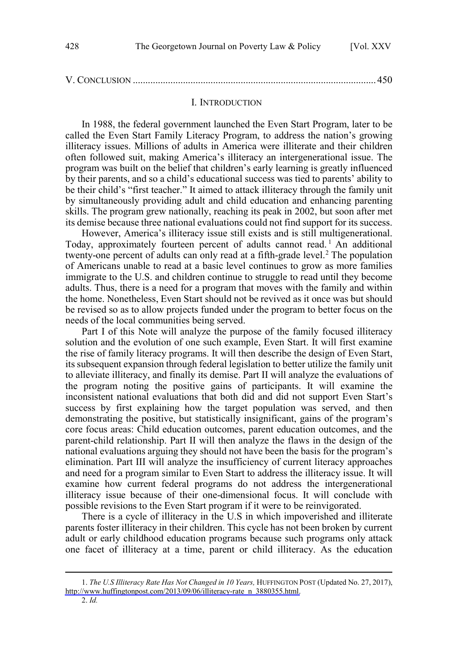<span id="page-1-0"></span>

|--|--|

#### I. INTRODUCTION

In 1988, the federal government launched the Even Start Program, later to be called the Even Start Family Literacy Program, to address the nation's growing illiteracy issues. Millions of adults in America were illiterate and their children often followed suit, making America's illiteracy an intergenerational issue. The program was built on the belief that children's early learning is greatly influenced by their parents, and so a child's educational success was tied to parents' ability to be their child's "first teacher." It aimed to attack illiteracy through the family unit by simultaneously providing adult and child education and enhancing parenting skills. The program grew nationally, reaching its peak in 2002, but soon after met its demise because three national evaluations could not find support for its success.

However, America's illiteracy issue still exists and is still multigenerational. Today, approximately fourteen percent of adults cannot read.<sup>1</sup> An additional twenty-one percent of adults can only read at a fifth-grade level.<sup>2</sup> The population of Americans unable to read at a basic level continues to grow as more families immigrate to the U.S. and children continue to struggle to read until they become adults. Thus, there is a need for a program that moves with the family and within the home. Nonetheless, Even Start should not be revived as it once was but should be revised so as to allow projects funded under the program to better focus on the needs of the local communities being served.

Part I of this Note will analyze the purpose of the family focused illiteracy solution and the evolution of one such example, Even Start. It will first examine the rise of family literacy programs. It will then describe the design of Even Start, its subsequent expansion through federal legislation to better utilize the family unit to alleviate illiteracy, and finally its demise. Part II will analyze the evaluations of the program noting the positive gains of participants. It will examine the inconsistent national evaluations that both did and did not support Even Start's success by first explaining how the target population was served, and then demonstrating the positive, but statistically insignificant, gains of the program's core focus areas: Child education outcomes, parent education outcomes, and the parent-child relationship. Part II will then analyze the flaws in the design of the national evaluations arguing they should not have been the basis for the program's elimination. Part III will analyze the insufficiency of current literacy approaches and need for a program similar to Even Start to address the illiteracy issue. It will examine how current federal programs do not address the intergenerational illiteracy issue because of their one-dimensional focus. It will conclude with possible revisions to the Even Start program if it were to be reinvigorated.

There is a cycle of illiteracy in the U.S in which impoverished and illiterate parents foster illiteracy in their children. This cycle has not been broken by current adult or early childhood education programs because such programs only attack one facet of illiteracy at a time, parent or child illiteracy. As the education

*The U.S Illiteracy Rate Has Not Changed in 10 Years,* HUFFINGTON POST (Updated No. 27, 2017), 1. [http://www.huffingtonpost.com/2013/09/06/illiteracy-rate\\_n\\_3880355.html.](http://www.huffingtonpost.com/2013/09/06/illiteracy-rate_n_3880355.html)

<sup>2.</sup> *Id.*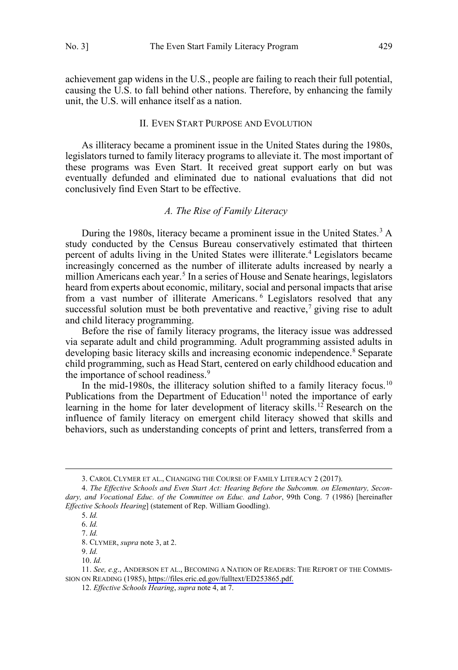<span id="page-2-0"></span>achievement gap widens in the U.S., people are failing to reach their full potential, causing the U.S. to fall behind other nations. Therefore, by enhancing the family unit, the U.S. will enhance itself as a nation.

### II. EVEN START PURPOSE AND EVOLUTION

As illiteracy became a prominent issue in the United States during the 1980s, legislators turned to family literacy programs to alleviate it. The most important of these programs was Even Start. It received great support early on but was eventually defunded and eliminated due to national evaluations that did not conclusively find Even Start to be effective.

# *A. The Rise of Family Literacy*

During the 1980s, literacy became a prominent issue in the United States.<sup>3</sup> A study conducted by the Census Bureau conservatively estimated that thirteen percent of adults living in the United States were illiterate.<sup>4</sup> Legislators became increasingly concerned as the number of illiterate adults increased by nearly a million Americans each year.<sup>5</sup> In a series of House and Senate hearings, legislators heard from experts about economic, military, social and personal impacts that arise from a vast number of illiterate Americans. <sup>6</sup> Legislators resolved that any successful solution must be both preventative and reactive,<sup>7</sup> giving rise to adult and child literacy programming.

Before the rise of family literacy programs, the literacy issue was addressed via separate adult and child programming. Adult programming assisted adults in developing basic literacy skills and increasing economic independence.<sup>8</sup> Separate child programming, such as Head Start, centered on early childhood education and the importance of school readiness.<sup>9</sup>

In the mid-1980s, the illiteracy solution shifted to a family literacy focus.<sup>10</sup> Publications from the Department of Education<sup>11</sup> noted the importance of early learning in the home for later development of literacy skills.<sup>12</sup> Research on the influence of family literacy on emergent child literacy showed that skills and behaviors, such as understanding concepts of print and letters, transferred from a

<sup>3.</sup> CAROL CLYMER ET AL., CHANGING THE COURSE OF FAMILY LITERACY 2 (2017).

<sup>4.</sup> *The Effective Schools and Even Start Act: Hearing Before the Subcomm. on Elementary, Secondary, and Vocational Educ. of the Committee on Educ. and Labor*, 99th Cong. 7 (1986) [hereinafter *Effective Schools Hearing*] (statement of Rep. William Goodling).

<sup>5.</sup> *Id.*

<sup>6.</sup> *Id.*  7. *Id.* 

<sup>8.</sup> CLYMER, *supra* note 3, at 2.

<sup>9.</sup> *Id.* 

<sup>10.</sup> *Id.* 

<sup>11.</sup> See, e.g., ANDERSON ET AL., BECOMING A NATION OF READERS: THE REPORT OF THE COMMIS-SION ON READING (1985), [https://files.eric.ed.gov/fulltext/ED253865.pdf.](https://files.eric.ed.gov/fulltext/ED253865.pdf)

<sup>12.</sup> *Effective Schools Hearing*, *supra* note 4, at 7.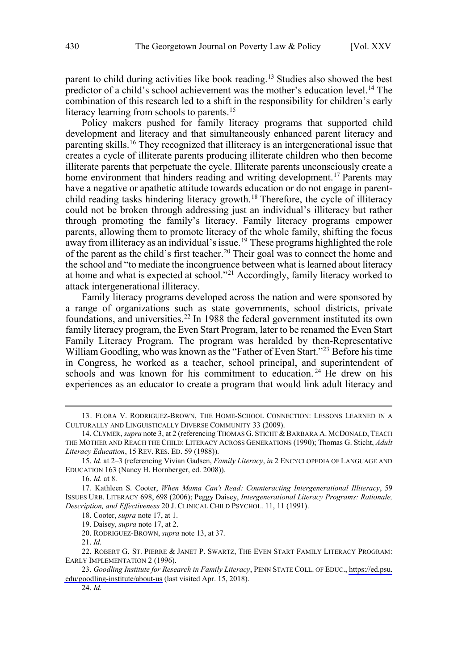parent to child during activities like book reading.<sup>13</sup> Studies also showed the best predictor of a child's school achievement was the mother's education level.14 The combination of this research led to a shift in the responsibility for children's early literacy learning from schools to parents.<sup>15</sup>

Policy makers pushed for family literacy programs that supported child development and literacy and that simultaneously enhanced parent literacy and parenting skills.16 They recognized that illiteracy is an intergenerational issue that creates a cycle of illiterate parents producing illiterate children who then become illiterate parents that perpetuate the cycle. Illiterate parents unconsciously create a home environment that hinders reading and writing development.<sup>17</sup> Parents may have a negative or apathetic attitude towards education or do not engage in parentchild reading tasks hindering literacy growth.<sup>18</sup> Therefore, the cycle of illiteracy could not be broken through addressing just an individual's illiteracy but rather through promoting the family's literacy. Family literacy programs empower parents, allowing them to promote literacy of the whole family, shifting the focus away from illiteracy as an individual's issue.<sup>19</sup> These programs highlighted the role of the parent as the child's first teacher.<sup>20</sup> Their goal was to connect the home and the school and "to mediate the incongruence between what is learned about literacy at home and what is expected at school."21 Accordingly, family literacy worked to attack intergenerational illiteracy.

Family literacy programs developed across the nation and were sponsored by a range of organizations such as state governments, school districts, private foundations, and universities.<sup>22</sup> In 1988 the federal government instituted its own family literacy program, the Even Start Program, later to be renamed the Even Start Family Literacy Program. The program was heralded by then-Representative William Goodling, who was known as the "Father of Even Start."<sup>23</sup> Before his time in Congress, he worked as a teacher, school principal, and superintendent of schools and was known for his commitment to education.<sup>24</sup> He drew on his experiences as an educator to create a program that would link adult literacy and

 $\overline{a}$ 

20. RODRIGUEZ-BROWN, *supra* note 13, at 37.

21. *Id.* 

24. *Id.* 

<sup>13.</sup> FLORA V. RODRIGUEZ-BROWN, THE HOME-SCHOOL CONNECTION: LESSONS LEARNED IN A CULTURALLY AND LINGUISTICALLY DIVERSE COMMUNITY 33 (2009).

<sup>14.</sup> CLYMER, *supra* note 3, at 2 (referencing THOMAS G. STICHT & BARBARA A. MCDONALD, TEACH THE MOTHER AND REACH THE CHILD: LITERACY ACROSS GENERATIONS (1990); Thomas G. Sticht, *Adult Literacy Education*, 15 REV. RES. ED. 59 (1988)).

<sup>15.</sup> *Id.* at 2–3 (referencing Vivian Gadsen, *Family Literacy*, *in* 2 ENCYCLOPEDIA OF LANGUAGE AND EDUCATION 163 (Nancy H. Hornberger, ed. 2008)).

<sup>16.</sup> *Id.* at 8.

<sup>17.</sup> Kathleen S. Cooter, *When Mama Can't Read: Counteracting Intergenerational Illiteracy*, 59 ISSUES URB. LITERACY 698, 698 (2006); Peggy Daisey, *Intergenerational Literacy Programs: Rationale, Description, and Effectiveness* 20 J. CLINICAL CHILD PSYCHOL. 11, 11 (1991).

<sup>18.</sup> Cooter, *supra* note 17, at 1.

<sup>19.</sup> Daisey, *supra* note 17, at 2.

<sup>22.</sup> ROBERT G. ST. PIERRE & JANET P. SWARTZ, THE EVEN START FAMILY LITERACY PROGRAM: EARLY IMPLEMENTATION 2 (1996).

*Goodling Institute for Research in Family Literacy*, PENN STATE COLL. OF EDUC., [https://ed.psu.](https://ed.psu.edu/goodling-institute/about-us) 23. [edu/goodling-institute/about-us](https://ed.psu.edu/goodling-institute/about-us) (last visited Apr. 15, 2018).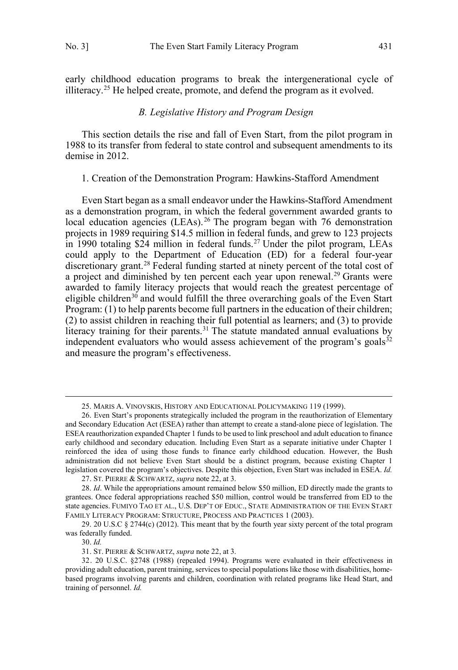<span id="page-4-0"></span>early childhood education programs to break the intergenerational cycle of illiteracy.<sup>25</sup> He helped create, promote, and defend the program as it evolved.

# *B. Legislative History and Program Design*

This section details the rise and fall of Even Start, from the pilot program in 1988 to its transfer from federal to state control and subsequent amendments to its demise in 2012.

#### 1. Creation of the Demonstration Program: Hawkins-Stafford Amendment

Even Start began as a small endeavor under the Hawkins-Stafford Amendment as a demonstration program, in which the federal government awarded grants to local education agencies (LEAs).<sup>26</sup> The program began with 76 demonstration projects in 1989 requiring \$14.5 million in federal funds, and grew to 123 projects in 1990 totaling  $$24$  million in federal funds.<sup>27</sup> Under the pilot program, LEAs could apply to the Department of Education (ED) for a federal four-year discretionary grant.<sup>28</sup> Federal funding started at ninety percent of the total cost of a project and diminished by ten percent each year upon renewal.<sup>29</sup> Grants were awarded to family literacy projects that would reach the greatest percentage of eligible children<sup>30</sup> and would fulfill the three overarching goals of the Even Start Program: (1) to help parents become full partners in the education of their children; (2) to assist children in reaching their full potential as learners; and (3) to provide literacy training for their parents.<sup>31</sup> The statute mandated annual evaluations by independent evaluators who would assess achievement of the program's goals $32$ and measure the program's effectiveness.

30. *Id.*

 <sup>25.</sup> MARIS A. VINOVSKIS, HISTORY AND EDUCATIONAL POLICYMAKING 119 (1999).

<sup>26.</sup> Even Start's proponents strategically included the program in the reauthorization of Elementary and Secondary Education Act (ESEA) rather than attempt to create a stand-alone piece of legislation. The ESEA reauthorization expanded Chapter 1 funds to be used to link preschool and adult education to finance early childhood and secondary education. Including Even Start as a separate initiative under Chapter 1 reinforced the idea of using those funds to finance early childhood education. However, the Bush administration did not believe Even Start should be a distinct program, because existing Chapter 1 legislation covered the program's objectives. Despite this objection, Even Start was included in ESEA. *Id.* 

<sup>27.</sup> ST. PIERRE & SCHWARTZ, *supra* note 22, at 3.

<sup>28.</sup> *Id*. While the appropriations amount remained below \$50 million, ED directly made the grants to grantees. Once federal appropriations reached \$50 million, control would be transferred from ED to the state agencies. FUMIYO TAO ET AL., U.S. DEP'T OF EDUC., STATE ADMINISTRATION OF THE EVEN START FAMILY LITERACY PROGRAM: STRUCTURE, PROCESS AND PRACTICES 1 (2003).

<sup>29. 20</sup> U.S.C § 2744(c) (2012). This meant that by the fourth year sixty percent of the total program was federally funded.

<sup>31.</sup> ST. PIERRE & SCHWARTZ, *supra* note 22, at 3.

<sup>32. 20</sup> U.S.C. §2748 (1988) (repealed 1994). Programs were evaluated in their effectiveness in providing adult education, parent training, services to special populations like those with disabilities, homebased programs involving parents and children, coordination with related programs like Head Start, and training of personnel. *Id.*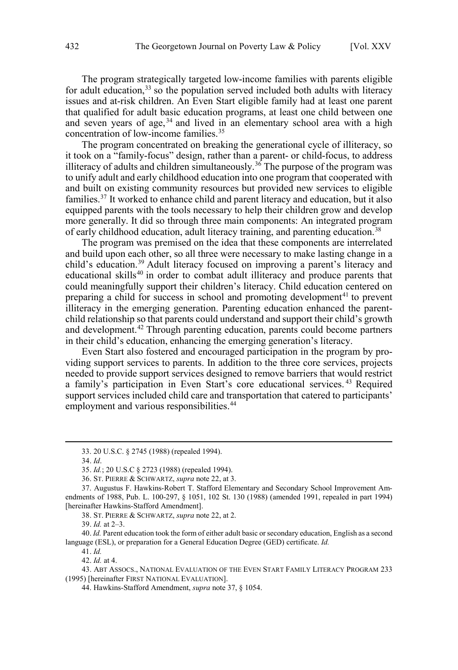The program strategically targeted low-income families with parents eligible for adult education,<sup>33</sup> so the population served included both adults with literacy issues and at-risk children. An Even Start eligible family had at least one parent that qualified for adult basic education programs, at least one child between one and seven years of age,  $34$  and lived in an elementary school area with a high concentration of low-income families.<sup>35</sup>

The program concentrated on breaking the generational cycle of illiteracy, so it took on a "family-focus" design, rather than a parent- or child-focus, to address illiteracy of adults and children simultaneously.<sup>36</sup> The purpose of the program was to unify adult and early childhood education into one program that cooperated with and built on existing community resources but provided new services to eligible families.37 It worked to enhance child and parent literacy and education, but it also equipped parents with the tools necessary to help their children grow and develop more generally. It did so through three main components: An integrated program of early childhood education, adult literacy training, and parenting education.<sup>38</sup>

The program was premised on the idea that these components are interrelated and build upon each other, so all three were necessary to make lasting change in a child's education.39 Adult literacy focused on improving a parent's literacy and educational skills<sup>40</sup> in order to combat adult illiteracy and produce parents that could meaningfully support their children's literacy. Child education centered on preparing a child for success in school and promoting development<sup>41</sup> to prevent illiteracy in the emerging generation. Parenting education enhanced the parentchild relationship so that parents could understand and support their child's growth and development.<sup>42</sup> Through parenting education, parents could become partners in their child's education, enhancing the emerging generation's literacy.

Even Start also fostered and encouraged participation in the program by providing support services to parents. In addition to the three core services, projects needed to provide support services designed to remove barriers that would restrict a family's participation in Even Start's core educational services. <sup>43</sup> Required support services included child care and transportation that catered to participants' employment and various responsibilities.<sup>44</sup>

 $\overline{a}$ 

38. ST. PIERRE & SCHWARTZ, *supra* note 22, at 2.

40. *Id.* Parent education took the form of either adult basic or secondary education, English as a second language (ESL), or preparation for a General Education Degree (GED) certificate. *Id.* 

41. *Id.* 

42. *Id.* at 4.

43. ABT ASSOCS., NATIONAL EVALUATION OF THE EVEN START FAMILY LITERACY PROGRAM 233 (1995) [hereinafter FIRST NATIONAL EVALUATION].

44. Hawkins-Stafford Amendment, *supra* note 37, § 1054.

<sup>33. 20</sup> U.S.C. § 2745 (1988) (repealed 1994).

<sup>34.</sup> *Id*.

<sup>35.</sup> *Id.*; 20 U.S.C § 2723 (1988) (repealed 1994).

<sup>36.</sup> ST. PIERRE & SCHWARTZ, *supra* note 22, at 3.

<sup>37.</sup> Augustus F. Hawkins-Robert T. Stafford Elementary and Secondary School Improvement Amendments of 1988, Pub. L. 100-297, § 1051, 102 St. 130 (1988) (amended 1991, repealed in part 1994) [hereinafter Hawkins-Stafford Amendment].

<sup>39.</sup> *Id.* at 2–3.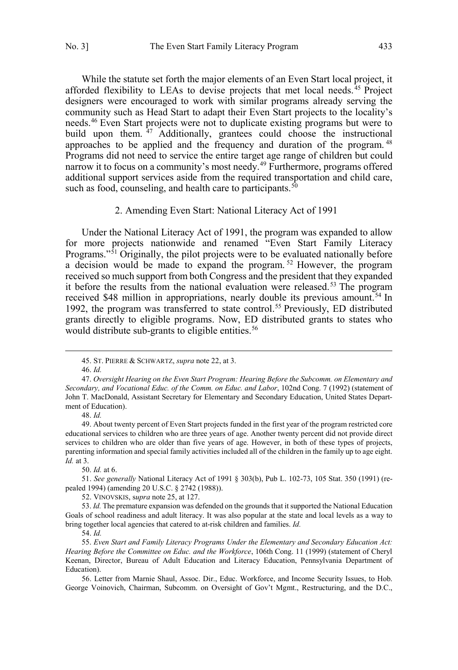<span id="page-6-0"></span>While the statute set forth the major elements of an Even Start local project, it afforded flexibility to LEAs to devise projects that met local needs.<sup>45</sup> Project designers were encouraged to work with similar programs already serving the community such as Head Start to adapt their Even Start projects to the locality's needs.46 Even Start projects were not to duplicate existing programs but were to build upon them.  $47$  Additionally, grantees could choose the instructional approaches to be applied and the frequency and duration of the program. <sup>48</sup> Programs did not need to service the entire target age range of children but could narrow it to focus on a community's most needy.<sup>49</sup> Furthermore, programs offered additional support services aside from the required transportation and child care, such as food, counseling, and health care to participants. $50$ 

#### 2. Amending Even Start: National Literacy Act of 1991

Under the National Literacy Act of 1991, the program was expanded to allow for more projects nationwide and renamed "Even Start Family Literacy Programs."<sup>51</sup> Originally, the pilot projects were to be evaluated nationally before a decision would be made to expand the program. <sup>52</sup> However, the program received so much support from both Congress and the president that they expanded it before the results from the national evaluation were released.<sup>53</sup> The program received \$48 million in appropriations, nearly double its previous amount.<sup>54</sup> In 1992, the program was transferred to state control.<sup>55</sup> Previously, ED distributed grants directly to eligible programs. Now, ED distributed grants to states who would distribute sub-grants to eligible entities.<sup>56</sup>

 $\overline{a}$ 

48. *Id.*

49. About twenty percent of Even Start projects funded in the first year of the program restricted core educational services to children who are three years of age. Another twenty percent did not provide direct services to children who are older than five years of age. However, in both of these types of projects, parenting information and special family activities included all of the children in the family up to age eight. *Id.* at 3.

50. *Id.* at 6.

51. *See generally* National Literacy Act of 1991 § 303(b), Pub L. 102-73, 105 Stat. 350 (1991) (repealed 1994) (amending 20 U.S.C. § 2742 (1988)).

52. VINOVSKIS, s*upra* note 25, at 127.

53. *Id.* The premature expansion was defended on the grounds that it supported the National Education Goals of school readiness and adult literacy. It was also popular at the state and local levels as a way to bring together local agencies that catered to at-risk children and families. *Id.* 

54. *Id.*

56. Letter from Marnie Shaul, Assoc. Dir., Educ. Workforce, and Income Security Issues, to Hob. George Voinovich, Chairman, Subcomm. on Oversight of Gov't Mgmt., Restructuring, and the D.C.,

<sup>45.</sup> ST. PIERRE & SCHWARTZ, *supra* note 22, at 3.

<sup>46.</sup> *Id.*

<sup>47.</sup> *Oversight Hearing on the Even Start Program: Hearing Before the Subcomm. on Elementary and Secondary, and Vocational Educ. of the Comm. on Educ. and Labor*, 102nd Cong. 7 (1992) (statement of John T. MacDonald, Assistant Secretary for Elementary and Secondary Education, United States Department of Education).

<sup>55.</sup> *Even Start and Family Literacy Programs Under the Elementary and Secondary Education Act: Hearing Before the Committee on Educ. and the Workforce*, 106th Cong. 11 (1999) (statement of Cheryl Keenan, Director, Bureau of Adult Education and Literacy Education, Pennsylvania Department of Education).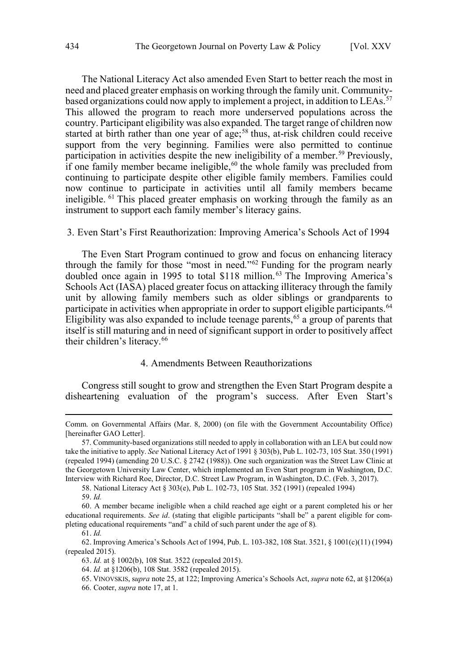<span id="page-7-0"></span>The National Literacy Act also amended Even Start to better reach the most in need and placed greater emphasis on working through the family unit. Communitybased organizations could now apply to implement a project, in addition to LEAs.<sup>57</sup> This allowed the program to reach more underserved populations across the country. Participant eligibility was also expanded. The target range of children now started at birth rather than one year of age;<sup>58</sup> thus, at-risk children could receive support from the very beginning. Families were also permitted to continue participation in activities despite the new ineligibility of a member.<sup>59</sup> Previously, if one family member became ineligible,  $60$  the whole family was precluded from continuing to participate despite other eligible family members. Families could now continue to participate in activities until all family members became ineligible. <sup>61</sup> This placed greater emphasis on working through the family as an instrument to support each family member's literacy gains.

#### 3. Even Start's First Reauthorization: Improving America's Schools Act of 1994

The Even Start Program continued to grow and focus on enhancing literacy through the family for those "most in need."62 Funding for the program nearly doubled once again in 1995 to total \$118 million.63 The Improving America's Schools Act (IASA) placed greater focus on attacking illiteracy through the family unit by allowing family members such as older siblings or grandparents to participate in activities when appropriate in order to support eligible participants.<sup>64</sup> Eligibility was also expanded to include teenage parents,<sup>65</sup> a group of parents that itself is still maturing and in need of significant support in order to positively affect their children's literacy.<sup>66</sup>

# 4. Amendments Between Reauthorizations

Congress still sought to grow and strengthen the Even Start Program despite a disheartening evaluation of the program's success. After Even Start's

Comm. on Governmental Affairs (Mar. 8, 2000) (on file with the Government Accountability Office) [hereinafter GAO Letter].

<sup>57.</sup> Community-based organizations still needed to apply in collaboration with an LEA but could now take the initiative to apply. *See* National Literacy Act of 1991 § 303(b), Pub L. 102-73, 105 Stat. 350 (1991) (repealed 1994) (amending 20 U.S.C. § 2742 (1988)). One such organization was the Street Law Clinic at the Georgetown University Law Center, which implemented an Even Start program in Washington, D.C. Interview with Richard Roe, Director, D.C. Street Law Program, in Washington, D.C. (Feb. 3, 2017).

<sup>58.</sup> National Literacy Act § 303(e), Pub L. 102-73, 105 Stat. 352 (1991) (repealed 1994)

<sup>59.</sup> *Id.* 

<sup>60.</sup> A member became ineligible when a child reached age eight or a parent completed his or her educational requirements. *See id*. (stating that eligible participants "shall be" a parent eligible for completing educational requirements "and" a child of such parent under the age of 8)*.* 

<sup>61.</sup> *Id.*

<sup>62.</sup> Improving America's Schools Act of 1994, Pub. L. 103-382, 108 Stat. 3521, § 1001(c)(11) (1994) (repealed 2015).

<sup>63.</sup> *Id.* at § 1002(b), 108 Stat. 3522 (repealed 2015).

<sup>64.</sup> *Id.* at §1206(b), 108 Stat. 3582 (repealed 2015).

<sup>65.</sup> VINOVSKIS, s*upra* note 25, at 122; Improving America's Schools Act, *supra* note 62, at §1206(a) 66. Cooter, *supra* note 17, at 1.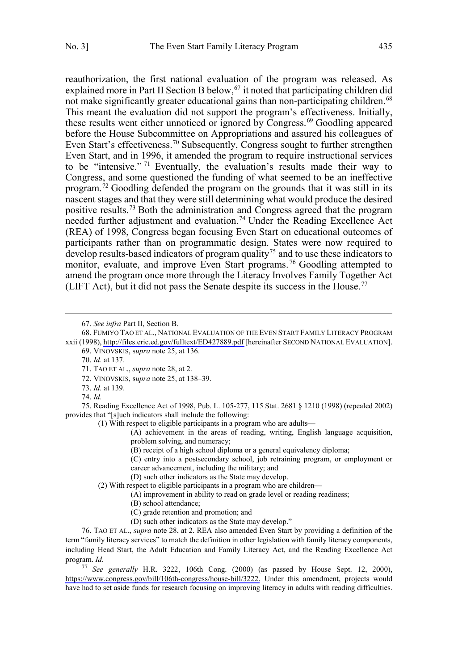reauthorization, the first national evaluation of the program was released. As explained more in Part II Section B below,  $67$  it noted that participating children did not make significantly greater educational gains than non-participating children.<sup>68</sup> This meant the evaluation did not support the program's effectiveness. Initially, these results went either unnoticed or ignored by Congress.<sup>69</sup> Goodling appeared before the House Subcommittee on Appropriations and assured his colleagues of Even Start's effectiveness.<sup>70</sup> Subsequently, Congress sought to further strengthen Even Start, and in 1996, it amended the program to require instructional services to be "intensive." <sup>71</sup> Eventually, the evaluation's results made their way to Congress, and some questioned the funding of what seemed to be an ineffective program.<sup> $72$ </sup> Goodling defended the program on the grounds that it was still in its nascent stages and that they were still determining what would produce the desired positive results.73 Both the administration and Congress agreed that the program needed further adjustment and evaluation.74 Under the Reading Excellence Act (REA) of 1998, Congress began focusing Even Start on educational outcomes of participants rather than on programmatic design. States were now required to  $\frac{1}{2}$  develop results-based indicators of program quality<sup>75</sup> and to use these indicators to monitor, evaluate, and improve Even Start programs.<sup>76</sup> Goodling attempted to amend the program once more through the Literacy Involves Family Together Act (LIFT Act), but it did not pass the Senate despite its success in the House.<sup>77</sup>

69. VINOVSKIS, s*upra* note 25, at 136.

- 72. VINOVSKIS, s*upra* note 25, at 138–39.
- 73. *Id.* at 139.
- 74. *Id.*

 $\overline{a}$ 

75. Reading Excellence Act of 1998, Pub. L. 105-277, 115 Stat. 2681 § 1210 (1998) (repealed 2002) provides that "[s]uch indicators shall include the following:

(1) With respect to eligible participants in a program who are adults—

(A) achievement in the areas of reading, writing, English language acquisition, problem solving, and numeracy;

(B) receipt of a high school diploma or a general equivalency diploma;

(C) entry into a postsecondary school, job retraining program, or employment or career advancement, including the military; and

(D) such other indicators as the State may develop.

(2) With respect to eligible participants in a program who are children—

- (A) improvement in ability to read on grade level or reading readiness;
	- (B) school attendance;
	- (C) grade retention and promotion; and
- (D) such other indicators as the State may develop."

76. TAO ET AL., *supra* note 28, at 2. REA also amended Even Start by providing a definition of the term "family literacy services" to match the definition in other legislation with family literacy components, including Head Start, the Adult Education and Family Literacy Act, and the Reading Excellence Act program. *Id.*

*See generally* H.R. 3222, 106th Cong. (2000) (as passed by House Sept. 12, 2000), 77 [https://www.congress.gov/bill/106th-congress/house-bill/3222.](https://www.congress.gov/bill/106th-congress/house-bill/3222) Under this amendment, projects would have had to set aside funds for research focusing on improving literacy in adults with reading difficulties.

<sup>67.</sup> *See infra* Part II, Section B.

<sup>68.</sup> Fumiyo Tao et al., National Evaluation of the Even Start Family Literacy Program xxii (1998),<http://files.eric.ed.gov/fulltext/ED427889.pdf> [hereinafter SECOND NATIONAL EVALUATION].

<sup>70.</sup> *Id.* at 137.

<sup>71.</sup> TAO ET AL., *supra* note 28, at 2.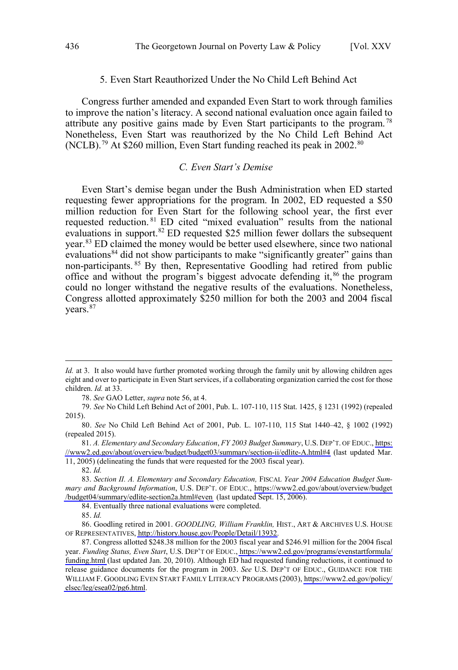#### 5. Even Start Reauthorized Under the No Child Left Behind Act

<span id="page-9-0"></span>Congress further amended and expanded Even Start to work through families to improve the nation's literacy. A second national evaluation once again failed to attribute any positive gains made by Even Start participants to the program. <sup>78</sup> Nonetheless, Even Start was reauthorized by the No Child Left Behind Act (NCLB).<sup>79</sup> At \$260 million, Even Start funding reached its peak in 2002.<sup>80</sup>

#### *C. Even Start's Demise*

Even Start's demise began under the Bush Administration when ED started requesting fewer appropriations for the program. In 2002, ED requested a \$50 million reduction for Even Start for the following school year, the first ever requested reduction. <sup>81</sup> ED cited "mixed evaluation" results from the national evaluations in support.<sup>82</sup> ED requested \$25 million fewer dollars the subsequent year.<sup>83</sup> ED claimed the money would be better used elsewhere, since two national evaluations<sup>84</sup> did not show participants to make "significantly greater" gains than non-participants. <sup>85</sup> By then, Representative Goodling had retired from public office and without the program's biggest advocate defending it,<sup>86</sup> the program could no longer withstand the negative results of the evaluations. Nonetheless, Congress allotted approximately \$250 million for both the 2003 and 2004 fiscal years.<sup>87</sup>

78. *See* GAO Letter, *supra* note 56, at 4.

79. *See* No Child Left Behind Act of 2001, Pub. L. 107-110, 115 Stat. 1425, § 1231 (1992) (repealed 2015).

80. *See* No Child Left Behind Act of 2001, Pub. L. 107-110, 115 Stat 1440–42, § 1002 (1992) (repealed 2015).

*A. Elementary and Secondary Education*, *FY 2003 Budget Summary*, U.S. DEP'T. OF EDUC., [https:](https://www2.ed.gov/about/overview/budget/budget03/summary/section-ii/edlite-A.html#4) 81. [//www2.ed.gov/about/overview/budget/budget03/summary/section-ii/edlite-A.html#4](https://www2.ed.gov/about/overview/budget/budget03/summary/section-ii/edlite-A.html#4) (last updated Mar. 11, 2005) (delineating the funds that were requested for the 2003 fiscal year).

 $\overline{a}$ 

84. Eventually three national evaluations were completed.

*Id.* at 3. It also would have further promoted working through the family unit by allowing children ages eight and over to participate in Even Start services, if a collaborating organization carried the cost for those children. *Id.* at 33.

<sup>82.</sup> *Id.* 

<sup>83.</sup> Section II. A. Elementary and Secondary Education, FISCAL Year 2004 Education Budget Sum*mary and Background Information*, U.S. DEP'T. OF EDUC., [https://www2.ed.gov/about/overview/budget](https://www2.ed.gov/about/overview/budget/budget04/summary/edlite-section2a.html#even) [/budget04/summary/edlite-section2a.html#even](https://www2.ed.gov/about/overview/budget/budget04/summary/edlite-section2a.html#even) (last updated Sept. 15, 2006).

<sup>85.</sup> *Id.* 

<sup>86.</sup> Goodling retired in 2001. *GOODLING, William Franklin,* HIST., ART & ARCHIVES U.S. HOUSE OF REPRESENTATIVES,<http://history.house.gov/People/Detail/13932>.

<sup>87.</sup> Congress allotted \$248.38 million for the 2003 fiscal year and \$246.91 million for the 2004 fiscal year. *Funding Status, Even Start*, U.S. DEP'T OF EDUC., [https://www2.ed.gov/programs/evenstartformula/](https://www2.ed.gov/programs/evenstartformula/funding.html) [funding.html](https://www2.ed.gov/programs/evenstartformula/funding.html) (last updated Jan. 20, 2010). Although ED had requested funding reductions, it continued to release guidance documents for the program in 2003. *See* U.S. DEP'T OF EDUC., GUIDANCE FOR THE WILLIAM F. GOODLING EVEN START FAMILY LITERACY PROGRAMS (2003), [https://www2.ed.gov/policy/](https://www2.ed.gov/policy/elsec/leg/esea02/pg6.html) [elsec/leg/esea02/pg6.html](https://www2.ed.gov/policy/elsec/leg/esea02/pg6.html).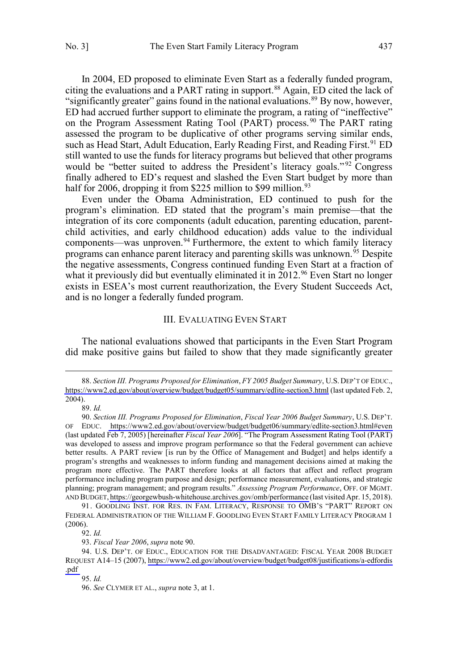<span id="page-10-0"></span>In 2004, ED proposed to eliminate Even Start as a federally funded program, citing the evaluations and a PART rating in support.<sup>88</sup> Again, ED cited the lack of "significantly greater" gains found in the national evaluations.<sup>89</sup> By now, however, ED had accrued further support to eliminate the program, a rating of "ineffective" on the Program Assessment Rating Tool (PART) process.<sup>90</sup> The PART rating assessed the program to be duplicative of other programs serving similar ends, such as Head Start, Adult Education, Early Reading First, and Reading First.<sup>91</sup> ED still wanted to use the funds for literacy programs but believed that other programs would be "better suited to address the President's literacy goals."<sup>92</sup> Congress finally adhered to ED's request and slashed the Even Start budget by more than half for 2006, dropping it from \$225 million to \$99 million.<sup>93</sup>

Even under the Obama Administration, ED continued to push for the program's elimination. ED stated that the program's main premise—that the integration of its core components (adult education, parenting education, parentchild activities, and early childhood education) adds value to the individual components—was unproven.<sup>94</sup> Furthermore, the extent to which family literacy programs can enhance parent literacy and parenting skills was unknown.<sup>95</sup> Despite the negative assessments, Congress continued funding Even Start at a fraction of what it previously did but eventually eliminated it in  $2012.^{96}$  Even Start no longer exists in ESEA's most current reauthorization, the Every Student Succeeds Act, and is no longer a federally funded program.

#### III. EVALUATING EVEN START

The national evaluations showed that participants in the Even Start Program did make positive gains but failed to show that they made significantly greater

89. *Id.*

 $\overline{a}$ 

93. *Fiscal Year 2006*, *supra* note 90.

*Section III. Programs Proposed for Elimination*, *FY 2005 Budget Summary*, U.S. DEP'T OF EDUC., 88. <https://www2.ed.gov/about/overview/budget/budget05/summary/edlite-section3.html> (last updated Feb. 2, 2004).

*Section III. Programs Proposed for Elimination*, *Fiscal Year 2006 Budget Summary*, U.S. DEP'T. 90. OF EDUC. <https://www2.ed.gov/about/overview/budget/budget06/summary/edlite-section3.html#even> (last updated Feb 7, 2005) [hereinafter *Fiscal Year 2006*]. "The Program Assessment Rating Tool (PART) was developed to assess and improve program performance so that the Federal government can achieve better results. A PART review [is run by the Office of Management and Budget] and helps identify a program's strengths and weaknesses to inform funding and management decisions aimed at making the program more effective. The PART therefore looks at all factors that affect and reflect program performance including program purpose and design; performance measurement, evaluations, and strategic planning; program management; and program results." *Assessing Program Performance*, OFF. OF MGMT. AND BUDGET, <https://georgewbush-whitehouse.archives.gov/omb/performance> (last visited Apr. 15, 2018).

<sup>91.</sup> GOODLING INST. FOR RES. IN FAM. LITERACY, RESPONSE TO OMB'S "PART" REPORT ON FEDERAL ADMINISTRATION OF THE WILLIAM F. GOODLING EVEN START FAMILY LITERACY PROGRAM 1 (2006).

<sup>92.</sup> *Id.* 

<sup>94.</sup> U.S. DEP'T. OF EDUC., EDUCATION FOR THE DISADVANTAGED: FISCAL YEAR 2008 BUDGET REQUEST A14–15 (2007), [https://www2.ed.gov/about/overview/budget/budget08/justifications/a-edfordis](https://www2.ed.gov/about/overview/budget/budget08/justifications/a-edfordis.pdf) [.pdf](https://www2.ed.gov/about/overview/budget/budget08/justifications/a-edfordis.pdf) 

<sup>95.</sup> *Id.* 

<sup>96.</sup> *See* CLYMER ET AL., *supra* note 3, at 1.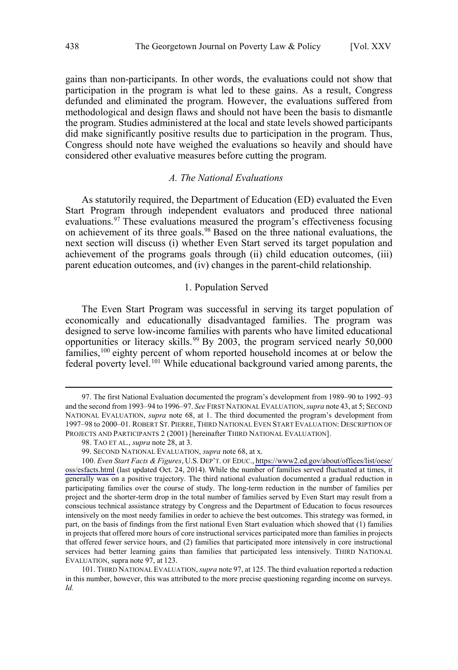<span id="page-11-0"></span>gains than non-participants. In other words, the evaluations could not show that participation in the program is what led to these gains. As a result, Congress defunded and eliminated the program. However, the evaluations suffered from methodological and design flaws and should not have been the basis to dismantle the program. Studies administered at the local and state levels showed participants did make significantly positive results due to participation in the program. Thus, Congress should note have weighed the evaluations so heavily and should have considered other evaluative measures before cutting the program.

# *A. The National Evaluations*

As statutorily required, the Department of Education (ED) evaluated the Even Start Program through independent evaluators and produced three national evaluations.<sup>97</sup> These evaluations measured the program's effectiveness focusing on achievement of its three goals.98 Based on the three national evaluations, the next section will discuss (i) whether Even Start served its target population and achievement of the programs goals through (ii) child education outcomes, (iii) parent education outcomes, and (iv) changes in the parent-child relationship.

# 1. Population Served

The Even Start Program was successful in serving its target population of economically and educationally disadvantaged families. The program was designed to serve low-income families with parents who have limited educational opportunities or literacy skills.<sup>99</sup> By 2003, the program serviced nearly 50,000 families,<sup>100</sup> eighty percent of whom reported household incomes at or below the federal poverty level.<sup>101</sup> While educational background varied among parents, the

<sup>97.</sup> The first National Evaluation documented the program's development from 1989–90 to 1992–93 and the second from 1993–94 to 1996–97. *See* FIRST NATIONAL EVALUATION, *supra* note 43, at 5; SECOND NATIONAL EVALUATION, *supra* note 68, at 1. The third documented the program's development from 1997–98 to 2000–01. ROBERT ST. PIERRE, THIRD NATIONAL EVEN START EVALUATION: DESCRIPTION OF PROJECTS AND PARTICIPANTS 2 (2001) [hereinafter THIRD NATIONAL EVALUATION].

<sup>98.</sup> TAO ET AL., *supra* note 28, at 3.

<sup>99.</sup> SECOND NATIONAL EVALUATION, *supra* note 68, at x.

<sup>100.</sup> *Even Start Facts & Figures*, U.S. DEP'T. OF EDUC., [https://www2.ed.gov/about/offices/list/oese/](https://www2.ed.gov/about/offices/list/oese/oss/esfacts.html) [oss/esfacts.html](https://www2.ed.gov/about/offices/list/oese/oss/esfacts.html) (last updated Oct. 24, 2014). While the number of families served fluctuated at times, it generally was on a positive trajectory. The third national evaluation documented a gradual reduction in participating families over the course of study. The long-term reduction in the number of families per project and the shorter-term drop in the total number of families served by Even Start may result from a conscious technical assistance strategy by Congress and the Department of Education to focus resources intensively on the most needy families in order to achieve the best outcomes. This strategy was formed, in part, on the basis of findings from the first national Even Start evaluation which showed that (1) families in projects that offered more hours of core instructional services participated more than families in projects that offered fewer service hours, and (2) families that participated more intensively in core instructional services had better learning gains than families that participated less intensively. THIRD NATIONAL EVALUATION, supra note 97, at 123.

<sup>101.</sup> THIRD NATIONAL EVALUATION,*supra* note 97, at 125. The third evaluation reported a reduction in this number, however, this was attributed to the more precise questioning regarding income on surveys. *Id.*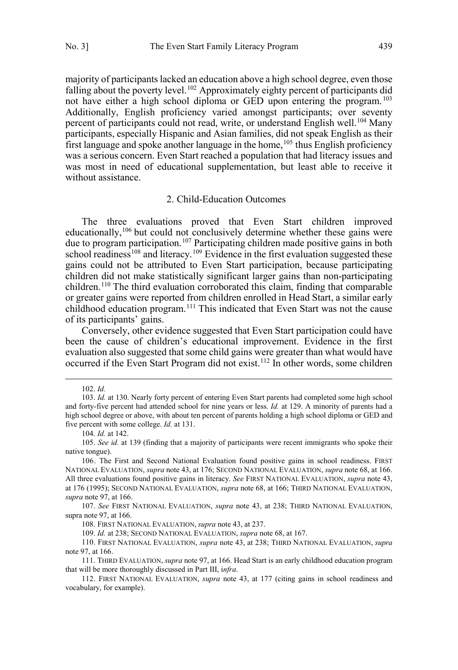<span id="page-12-0"></span>majority of participants lacked an education above a high school degree, even those falling about the poverty level.<sup>102</sup> Approximately eighty percent of participants did not have either a high school diploma or GED upon entering the program. <sup>103</sup> Additionally, English proficiency varied amongst participants; over seventy percent of participants could not read, write, or understand English well.<sup>104</sup> Many participants, especially Hispanic and Asian families, did not speak English as their first language and spoke another language in the home,  $105$  thus English proficiency was a serious concern. Even Start reached a population that had literacy issues and was most in need of educational supplementation, but least able to receive it without assistance.

#### 2. Child-Education Outcomes

The three evaluations proved that Even Start children improved educationally,<sup>106</sup> but could not conclusively determine whether these gains were due to program participation.<sup>107</sup> Participating children made positive gains in both school readiness<sup>108</sup> and literacy.<sup>109</sup> Evidence in the first evaluation suggested these gains could not be attributed to Even Start participation, because participating children did not make statistically significant larger gains than non-participating children.110 The third evaluation corroborated this claim, finding that comparable or greater gains were reported from children enrolled in Head Start, a similar early childhood education program.<sup>111</sup> This indicated that Even Start was not the cause of its participants' gains.

Conversely, other evidence suggested that Even Start participation could have been the cause of children's educational improvement. Evidence in the first evaluation also suggested that some child gains were greater than what would have occurred if the Even Start Program did not exist.112 In other words, some children

<sup>102.</sup> *Id.*

<sup>103.</sup> *Id.* at 130. Nearly forty percent of entering Even Start parents had completed some high school and forty-five percent had attended school for nine years or less. *Id.* at 129. A minority of parents had a high school degree or above, with about ten percent of parents holding a high school diploma or GED and five percent with some college. *Id.* at 131.

<sup>104.</sup> *Id.* at 142.

<sup>105.</sup> *See id.* at 139 (finding that a majority of participants were recent immigrants who spoke their native tongue).

<sup>106.</sup> The First and Second National Evaluation found positive gains in school readiness. FIRST NATIONAL EVALUATION, *supra* note 43, at 176; SECOND NATIONAL EVALUATION, *supra* note 68, at 166. All three evaluations found positive gains in literacy. *See* FIRST NATIONAL EVALUATION, *supra* note 43, at 176 (1995); SECOND NATIONAL EVALUATION, *supra* note 68, at 166; THIRD NATIONAL EVALUATION, *supra* note 97, at 166.

<sup>107.</sup> *See* FIRST NATIONAL EVALUATION, *supra* note 43, at 238; THIRD NATIONAL EVALUATION, supra note 97, at 166.

<sup>108.</sup> FIRST NATIONAL EVALUATION, *supra* note 43, at 237.

<sup>109.</sup> *Id.* at 238; SECOND NATIONAL EVALUATION, *supra* note 68, at 167.

<sup>110.</sup> FIRST NATIONAL EVALUATION, *supra* note 43, at 238; THIRD NATIONAL EVALUATION, *supra*  note 97, at 166.

<sup>111.</sup> THIRD EVALUATION, *supra* note 97, at 166. Head Start is an early childhood education program that will be more thoroughly discussed in Part III, i*nfra*.

<sup>112.</sup> FIRST NATIONAL EVALUATION, *supra* note 43, at 177 (citing gains in school readiness and vocabulary, for example).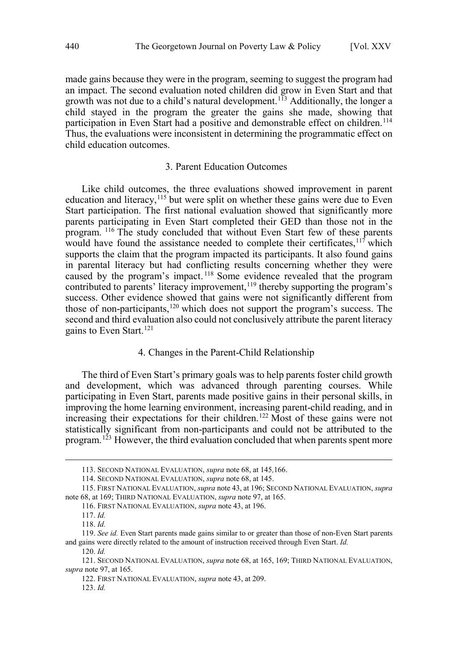<span id="page-13-0"></span>made gains because they were in the program, seeming to suggest the program had an impact. The second evaluation noted children did grow in Even Start and that growth was not due to a child's natural development.<sup>113</sup> Additionally, the longer a child stayed in the program the greater the gains she made, showing that participation in Even Start had a positive and demonstrable effect on children.<sup>114</sup> Thus, the evaluations were inconsistent in determining the programmatic effect on child education outcomes.

## 3. Parent Education Outcomes

Like child outcomes, the three evaluations showed improvement in parent education and literacy,<sup>115</sup> but were split on whether these gains were due to Even Start participation. The first national evaluation showed that significantly more parents participating in Even Start completed their GED than those not in the program. <sup>116</sup> The study concluded that without Even Start few of these parents would have found the assistance needed to complete their certificates,  $117$  which supports the claim that the program impacted its participants. It also found gains in parental literacy but had conflicting results concerning whether they were caused by the program's impact.<sup>118</sup> Some evidence revealed that the program contributed to parents' literacy improvement,<sup>119</sup> thereby supporting the program's success. Other evidence showed that gains were not significantly different from those of non-participants,<sup>120</sup> which does not support the program's success. The second and third evaluation also could not conclusively attribute the parent literacy gains to Even Start.<sup>121</sup>

## 4. Changes in the Parent-Child Relationship

The third of Even Start's primary goals was to help parents foster child growth and development, which was advanced through parenting courses. While participating in Even Start, parents made positive gains in their personal skills, in improving the home learning environment, increasing parent-child reading, and in increasing their expectations for their children.<sup>122</sup> Most of these gains were not statistically significant from non-participants and could not be attributed to the program.<sup>123</sup> However, the third evaluation concluded that when parents spent more

 $\overline{a}$ 

120. *Id.*

123. *Id.* 

<sup>113.</sup> SECOND NATIONAL EVALUATION, *supra* note 68, at 145*,*166.

<sup>114.</sup> SECOND NATIONAL EVALUATION, *supra* note 68, at 145.

<sup>115.</sup> FIRST NATIONAL EVALUATION, *supra* note 43, at 196; SECOND NATIONAL EVALUATION, *supra*  note 68, at 169; THIRD NATIONAL EVALUATION, *supra* note 97, at 165.

<sup>116.</sup> FIRST NATIONAL EVALUATION, *supra* note 43, at 196.

<sup>117.</sup> *Id.* 

<sup>118.</sup> *Id.* 

<sup>119.</sup> *See id.* Even Start parents made gains similar to or greater than those of non-Even Start parents and gains were directly related to the amount of instruction received through Even Start. *Id.*

<sup>121.</sup> SECOND NATIONAL EVALUATION, *supra* note 68, at 165, 169; THIRD NATIONAL EVALUATION, *supra* note 97, at 165.

<sup>122.</sup> FIRST NATIONAL EVALUATION, *supra* note 43, at 209.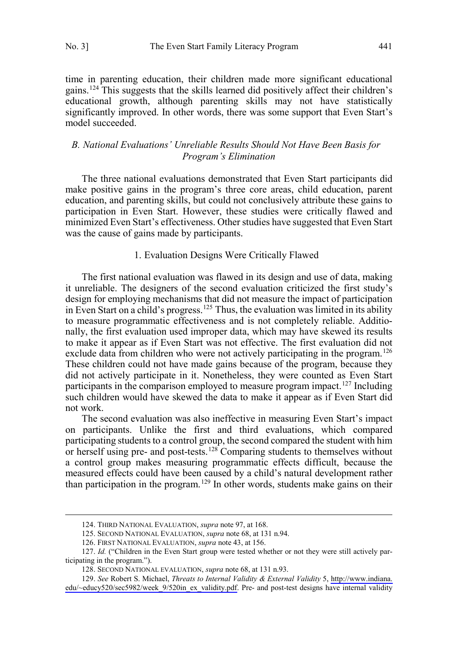$\overline{a}$ 

<span id="page-14-0"></span>time in parenting education, their children made more significant educational gains.124 This suggests that the skills learned did positively affect their children's educational growth, although parenting skills may not have statistically significantly improved. In other words, there was some support that Even Start's model succeeded.

# *B. National Evaluations' Unreliable Results Should Not Have Been Basis for Program's Elimination*

The three national evaluations demonstrated that Even Start participants did make positive gains in the program's three core areas, child education, parent education, and parenting skills, but could not conclusively attribute these gains to participation in Even Start. However, these studies were critically flawed and minimized Even Start's effectiveness. Other studies have suggested that Even Start was the cause of gains made by participants.

# 1. Evaluation Designs Were Critically Flawed

The first national evaluation was flawed in its design and use of data, making it unreliable. The designers of the second evaluation criticized the first study's design for employing mechanisms that did not measure the impact of participation in Even Start on a child's progress.<sup>125</sup> Thus, the evaluation was limited in its ability to measure programmatic effectiveness and is not completely reliable. Additionally, the first evaluation used improper data, which may have skewed its results to make it appear as if Even Start was not effective. The first evaluation did not exclude data from children who were not actively participating in the program.<sup>126</sup> These children could not have made gains because of the program, because they did not actively participate in it. Nonetheless, they were counted as Even Start participants in the comparison employed to measure program impact.<sup>127</sup> Including such children would have skewed the data to make it appear as if Even Start did not work.

The second evaluation was also ineffective in measuring Even Start's impact on participants. Unlike the first and third evaluations, which compared participating students to a control group, the second compared the student with him or herself using pre- and post-tests.<sup>128</sup> Comparing students to themselves without a control group makes measuring programmatic effects difficult, because the measured effects could have been caused by a child's natural development rather than participation in the program.<sup>129</sup> In other words, students make gains on their

<sup>124.</sup> THIRD NATIONAL EVALUATION, *supra* note 97, at 168.

<sup>125.</sup> SECOND NATIONAL EVALUATION, *supra* note 68, at 131 n.94.

<sup>126.</sup> FIRST NATIONAL EVALUATION, *supra* note 43, at 156.

<sup>127.</sup> *Id.* ("Children in the Even Start group were tested whether or not they were still actively participating in the program.").

<sup>128.</sup> SECOND NATIONAL EVALUATION, *supra* note 68, at 131 n.93.

<sup>129.</sup> See Robert S. Michael, *Threats to Internal Validity & External Validity* 5, [http://www.indiana.](http://www.indiana.edu/~educy520/sec5982/week_9/520in_ex_validity.pdf) [edu/~educy520/sec5982/week\\_9/520in\\_ex\\_validity.pdf](http://www.indiana.edu/~educy520/sec5982/week_9/520in_ex_validity.pdf). Pre- and post-test designs have internal validity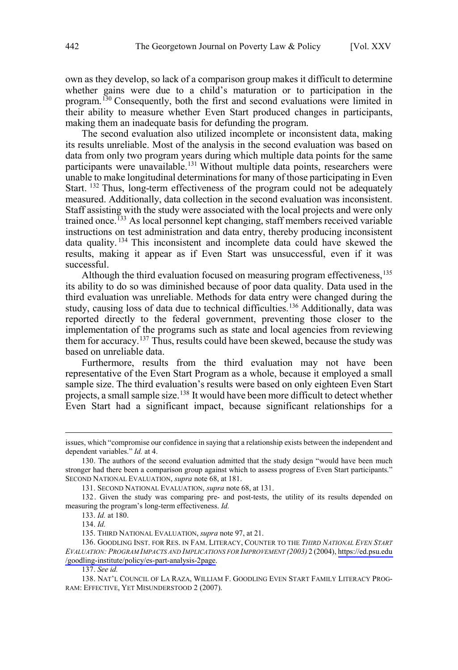own as they develop, so lack of a comparison group makes it difficult to determine whether gains were due to a child's maturation or to participation in the program.<sup>130</sup> Consequently, both the first and second evaluations were limited in their ability to measure whether Even Start produced changes in participants, making them an inadequate basis for defunding the program.

The second evaluation also utilized incomplete or inconsistent data, making its results unreliable. Most of the analysis in the second evaluation was based on data from only two program years during which multiple data points for the same participants were unavailable.<sup>131</sup> Without multiple data points, researchers were unable to make longitudinal determinations for many of those participating in Even Start. <sup>132</sup> Thus, long-term effectiveness of the program could not be adequately measured. Additionally, data collection in the second evaluation was inconsistent. Staff assisting with the study were associated with the local projects and were only trained once.<sup>133</sup> As local personnel kept changing, staff members received variable instructions on test administration and data entry, thereby producing inconsistent data quality. <sup>134</sup> This inconsistent and incomplete data could have skewed the results, making it appear as if Even Start was unsuccessful, even if it was successful.

Although the third evaluation focused on measuring program effectiveness,  $^{135}$ its ability to do so was diminished because of poor data quality. Data used in the third evaluation was unreliable. Methods for data entry were changed during the study, causing loss of data due to technical difficulties.<sup>136</sup> Additionally, data was reported directly to the federal government, preventing those closer to the implementation of the programs such as state and local agencies from reviewing them for accuracy.<sup>137</sup> Thus, results could have been skewed, because the study was based on unreliable data.

Furthermore, results from the third evaluation may not have been representative of the Even Start Program as a whole, because it employed a small sample size. The third evaluation's results were based on only eighteen Even Start projects, a small sample size.<sup>138</sup> It would have been more difficult to detect whether Even Start had a significant impact, because significant relationships for a

issues, which "compromise our confidence in saying that a relationship exists between the independent and dependent variables." *Id.* at 4.

<sup>130.</sup> The authors of the second evaluation admitted that the study design "would have been much stronger had there been a comparison group against which to assess progress of Even Start participants." SECOND NATIONAL EVALUATION, *supra* note 68, at 181.

<sup>131.</sup> SECOND NATIONAL EVALUATION, *supra* note 68, at 131.

<sup>132.</sup> Given the study was comparing pre- and post-tests, the utility of its results depended on measuring the program's long-term effectiveness. *Id.*

<sup>133.</sup> *Id.* at 180.

<sup>134.</sup> *Id.* 

<sup>135.</sup> THIRD NATIONAL EVALUATION, *supra* note 97, at 21.

<sup>136.</sup> GOODLING INST. FOR RES. IN FAM. LITERACY, COUNTER TO THE *THIRD NATIONAL EVEN START EVALUATION: PROGRAM IMPACTS AND IMPLICATIONS FOR IMPROVEMENT (2003)* 2 (2004), [https://ed.psu.edu](https://ed.psu.edu/goodling-institute/policy/es-part-analysis-2page) [/goodling-institute/policy/es-part-analysis-2page.](https://ed.psu.edu/goodling-institute/policy/es-part-analysis-2page)

<sup>137.</sup> *See id.* 

<sup>138.</sup> NAT'L COUNCIL OF LA RAZA, WILLIAM F. GOODLING EVEN START FAMILY LITERACY PROG-RAM: EFFECTIVE, YET MISUNDERSTOOD 2 (2007).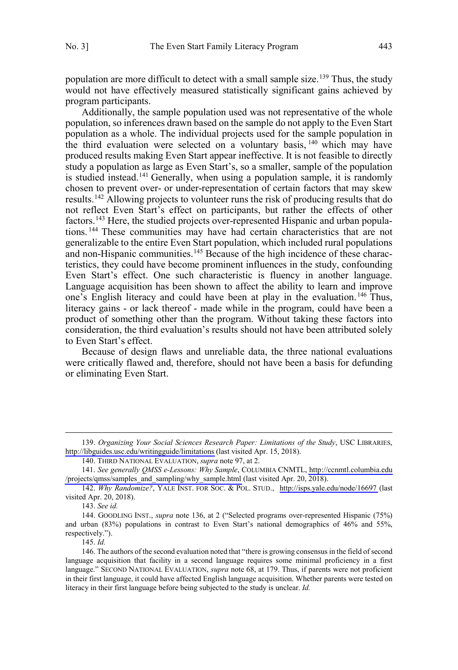population are more difficult to detect with a small sample size.<sup>139</sup> Thus, the study would not have effectively measured statistically significant gains achieved by program participants.

Additionally, the sample population used was not representative of the whole population, so inferences drawn based on the sample do not apply to the Even Start population as a whole. The individual projects used for the sample population in the third evaluation were selected on a voluntary basis,  $140$  which may have produced results making Even Start appear ineffective. It is not feasible to directly study a population as large as Even Start's, so a smaller, sample of the population is studied instead.<sup>141</sup> Generally, when using a population sample, it is randomly chosen to prevent over- or under-representation of certain factors that may skew results.<sup>142</sup> Allowing projects to volunteer runs the risk of producing results that do not reflect Even Start's effect on participants, but rather the effects of other factors.143 Here, the studied projects over-represented Hispanic and urban populations. <sup>144</sup> These communities may have had certain characteristics that are not generalizable to the entire Even Start population, which included rural populations and non-Hispanic communities.<sup>145</sup> Because of the high incidence of these characteristics, they could have become prominent influences in the study, confounding Even Start's effect. One such characteristic is fluency in another language. Language acquisition has been shown to affect the ability to learn and improve one's English literacy and could have been at play in the evaluation.<sup>146</sup> Thus, literacy gains - or lack thereof - made while in the program, could have been a product of something other than the program. Without taking these factors into consideration, the third evaluation's results should not have been attributed solely to Even Start's effect.

Because of design flaws and unreliable data, the three national evaluations were critically flawed and, therefore, should not have been a basis for defunding or eliminating Even Start.

143. *See id.* 

 $\overline{a}$ 

145. *Id.* 

*Organizing Your Social Sciences Research Paper: Limitations of the Study*, USC LIBRARIES, 139. <http://libguides.usc.edu/writingguide/limitations> (last visited Apr. 15, 2018).

<sup>140.</sup> THIRD NATIONAL EVALUATION, *supra* note 97, at 2.

*See generally QMSS e-Lessons: Why Sample*, COLUMBIA CNMTL, [http://ccnmtl.columbia.edu](http://ccnmtl.columbia.edu/projects/qmss/samples_and_sampling/why_sample.html) 141. [/projects/qmss/samples\\_and\\_sampling/why\\_sample.html](http://ccnmtl.columbia.edu/projects/qmss/samples_and_sampling/why_sample.html) (last visited Apr. 20, 2018).

<sup>142.</sup> Why Randomize?, YALE INST. FOR SOC. & POL. STUD., <http://isps.yale.edu/node/16697> (last visited Apr. 20, 2018).

<sup>144.</sup> GOODLING INST., *supra* note 136, at 2 ("Selected programs over-represented Hispanic (75%) and urban (83%) populations in contrast to Even Start's national demographics of 46% and 55%, respectively.").

<sup>146.</sup> The authors of the second evaluation noted that "there is growing consensus in the field of second language acquisition that facility in a second language requires some minimal proficiency in a first language." SECOND NATIONAL EVALUATION, *supra* note 68, at 179. Thus, if parents were not proficient in their first language, it could have affected English language acquisition. Whether parents were tested on literacy in their first language before being subjected to the study is unclear. *Id.*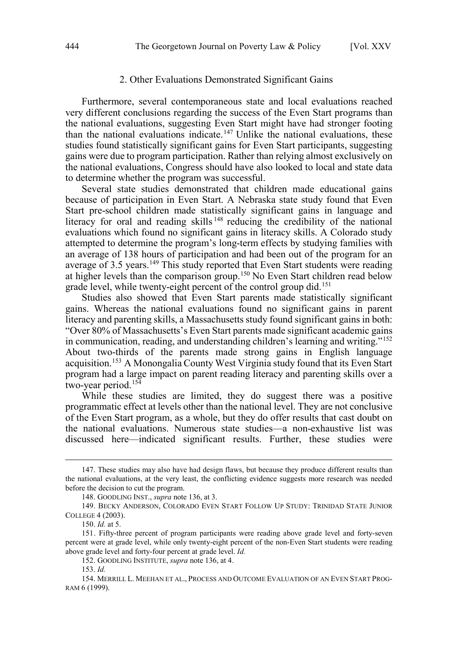#### 2. Other Evaluations Demonstrated Significant Gains

<span id="page-17-0"></span>Furthermore, several contemporaneous state and local evaluations reached very different conclusions regarding the success of the Even Start programs than the national evaluations, suggesting Even Start might have had stronger footing than the national evaluations indicate.<sup>147</sup> Unlike the national evaluations, these studies found statistically significant gains for Even Start participants, suggesting gains were due to program participation. Rather than relying almost exclusively on the national evaluations, Congress should have also looked to local and state data to determine whether the program was successful.

Several state studies demonstrated that children made educational gains because of participation in Even Start. A Nebraska state study found that Even Start pre-school children made statistically significant gains in language and literacy for oral and reading skills<sup>148</sup> reducing the credibility of the national evaluations which found no significant gains in literacy skills. A Colorado study attempted to determine the program's long-term effects by studying families with an average of 138 hours of participation and had been out of the program for an average of 3.5 years.<sup>149</sup> This study reported that Even Start students were reading at higher levels than the comparison group.<sup>150</sup> No Even Start children read below grade level, while twenty-eight percent of the control group did.<sup>151</sup>

Studies also showed that Even Start parents made statistically significant gains. Whereas the national evaluations found no significant gains in parent literacy and parenting skills, a Massachusetts study found significant gains in both: "Over 80% of Massachusetts's Even Start parents made significant academic gains in communication, reading, and understanding children's learning and writing."152 About two-thirds of the parents made strong gains in English language acquisition.153 A Monongalia County West Virginia study found that its Even Start program had a large impact on parent reading literacy and parenting skills over a two-year period.<sup>154</sup>

While these studies are limited, they do suggest there was a positive programmatic effect at levels other than the national level. They are not conclusive of the Even Start program, as a whole, but they do offer results that cast doubt on the national evaluations. Numerous state studies—a non-exhaustive list was discussed here—indicated significant results. Further, these studies were

<sup>147.</sup> These studies may also have had design flaws, but because they produce different results than the national evaluations, at the very least, the conflicting evidence suggests more research was needed before the decision to cut the program.

<sup>148.</sup> GOODLING INST., *supra* note 136, at 3.

<sup>149.</sup> BECKY ANDERSON, COLORADO EVEN START FOLLOW UP STUDY: TRINIDAD STATE JUNIOR COLLEGE 4 (2003).

<sup>150.</sup> *Id.* at 5.

<sup>151.</sup> Fifty-three percent of program participants were reading above grade level and forty-seven percent were at grade level, while only twenty-eight percent of the non-Even Start students were reading above grade level and forty-four percent at grade level. *Id.* 

<sup>152.</sup> GOODLING INSTITUTE, *supra* note 136, at 4.

<sup>153.</sup> *Id.*

<sup>154.</sup> MERRILL L. MEEHAN ET AL., PROCESS AND OUTCOME EVALUATION OF AN EVEN START PROG-RAM 6 (1999).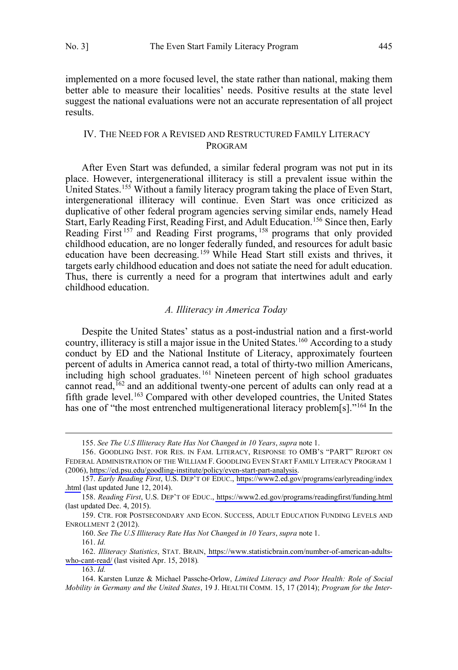<span id="page-18-0"></span>implemented on a more focused level, the state rather than national, making them better able to measure their localities' needs. Positive results at the state level suggest the national evaluations were not an accurate representation of all project results.

# IV. THE NEED FOR A REVISED AND RESTRUCTURED FAMILY LITERACY PROGRAM

After Even Start was defunded, a similar federal program was not put in its place. However, intergenerational illiteracy is still a prevalent issue within the United States.<sup>155</sup> Without a family literacy program taking the place of Even Start, intergenerational illiteracy will continue. Even Start was once criticized as duplicative of other federal program agencies serving similar ends, namely Head Start, Early Reading First, Reading First, and Adult Education.<sup>156</sup> Since then, Early Reading First<sup>157</sup> and Reading First programs, <sup>158</sup> programs that only provided childhood education, are no longer federally funded, and resources for adult basic education have been decreasing.159 While Head Start still exists and thrives, it targets early childhood education and does not satiate the need for adult education. Thus, there is currently a need for a program that intertwines adult and early childhood education.

#### *A. Illiteracy in America Today*

Despite the United States' status as a post-industrial nation and a first-world country, illiteracy is still a major issue in the United States.<sup>160</sup> According to a study conduct by ED and the National Institute of Literacy, approximately fourteen percent of adults in America cannot read, a total of thirty-two million Americans, including high school graduates.<sup>161</sup> Nineteen percent of high school graduates cannot read, <sup>162</sup> and an additional twenty-one percent of adults can only read at a fifth grade level.<sup>163</sup> Compared with other developed countries, the United States has one of "the most entrenched multigenerational literacy problem[s]."<sup>164</sup> In the

<sup>155.</sup> *See The U.S Illiteracy Rate Has Not Changed in 10 Years*, *supra* note 1.

<sup>156.</sup> GOODLING INST. FOR RES. IN FAM. LITERACY, RESPONSE TO OMB'S "PART" REPORT ON FEDERAL ADMINISTRATION OF THE WILLIAM F. GOODLING EVEN START FAMILY LITERACY PROGRAM 1 (2006), [https://ed.psu.edu/goodling-institute/policy/even-start-part-analysis.](https://ed.psu.edu/goodling-institute/policy/even-start-part-analysis)

*Early Reading First*, U.S. DEP'T OF EDUC., [https://www2.ed.gov/programs/earlyreading/index](https://www2.ed.gov/programs/earlyreading/index.html) 157. [.html](https://www2.ed.gov/programs/earlyreading/index.html) (last updated June 12, 2014).

*Reading First*, U.S. DEP'T OF EDUC.,<https://www2.ed.gov/programs/readingfirst/funding.html> 158. (last updated Dec. 4, 2015).

<sup>159.</sup> CTR. FOR POSTSECONDARY AND ECON. SUCCESS, ADULT EDUCATION FUNDING LEVELS AND ENROLLMENT 2 (2012).

<sup>160.</sup> *See The U.S Illiteracy Rate Has Not Changed in 10 Years*, *supra* note 1.

<sup>161.</sup> *Id.* 

*Illiteracy Statistics*, STAT. BRAIN, [https://www.statisticbrain.com/number-of-american-adults-](https://www.statisticbrain.com/number-of-american-adults-who-cant-read/)162. [who-cant-read/](https://www.statisticbrain.com/number-of-american-adults-who-cant-read/) (last visited Apr. 15, 2018)*.* 

<sup>163.</sup> *Id.* 

<sup>164.</sup> Karsten Lunze & Michael Passche-Orlow, *Limited Literacy and Poor Health: Role of Social Mobility in Germany and the United States*, 19 J. HEALTH COMM. 15, 17 (2014); *Program for the Inter-*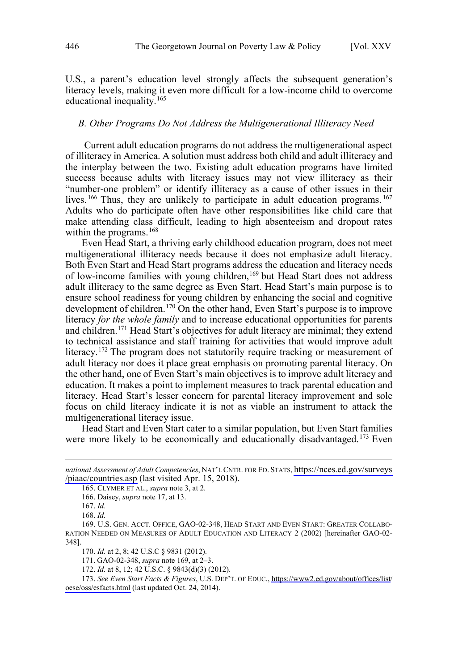<span id="page-19-0"></span>U.S., a parent's education level strongly affects the subsequent generation's literacy levels, making it even more difficult for a low-income child to overcome educational inequality.165

#### *B. Other Programs Do Not Address the Multigenerational Illiteracy Need*

Current adult education programs do not address the multigenerational aspect of illiteracy in America. A solution must address both child and adult illiteracy and the interplay between the two. Existing adult education programs have limited success because adults with literacy issues may not view illiteracy as their "number-one problem" or identify illiteracy as a cause of other issues in their lives.<sup>166</sup> Thus, they are unlikely to participate in adult education programs.<sup>167</sup> Adults who do participate often have other responsibilities like child care that make attending class difficult, leading to high absenteeism and dropout rates within the programs.<sup>168</sup>

Even Head Start, a thriving early childhood education program, does not meet multigenerational illiteracy needs because it does not emphasize adult literacy. Both Even Start and Head Start programs address the education and literacy needs of low-income families with young children,<sup>169</sup> but Head Start does not address adult illiteracy to the same degree as Even Start. Head Start's main purpose is to ensure school readiness for young children by enhancing the social and cognitive development of children. <sup>170</sup> On the other hand, Even Start's purpose is to improve literacy *for the whole family* and to increase educational opportunities for parents and children.171 Head Start's objectives for adult literacy are minimal; they extend to technical assistance and staff training for activities that would improve adult literacy.<sup>172</sup> The program does not statutorily require tracking or measurement of adult literacy nor does it place great emphasis on promoting parental literacy. On the other hand, one of Even Start's main objectives is to improve adult literacy and education. It makes a point to implement measures to track parental education and literacy. Head Start's lesser concern for parental literacy improvement and sole focus on child literacy indicate it is not as viable an instrument to attack the multigenerational literacy issue.

Head Start and Even Start cater to a similar population, but Even Start families were more likely to be economically and educationally disadvantaged.<sup>173</sup> Even

*national Assessment of Adult Competencies*, NAT'L CNTR. FOR ED. STATS, [https://nces.ed.gov/surveys](https://nces.ed.gov/surveys/piaac/countries.asp) [/piaac/countries.asp](https://nces.ed.gov/surveys/piaac/countries.asp) (last visited Apr. 15, 2018).

<sup>165.</sup> CLYMER ET AL., *supra* note 3, at 2.

<sup>166.</sup> Daisey, *supra* note 17, at 13.

<sup>167.</sup> *Id.* 

<sup>168.</sup> *Id.* 

<sup>169.</sup> U.S. GEN. ACCT. OFFICE, GAO-02-348, HEAD START AND EVEN START: GREATER COLLABO-RATION NEEDED ON MEASURES OF ADULT EDUCATION AND LITERACY 2 (2002) [hereinafter GAO-02- 348].

<sup>170.</sup> *Id.* at 2, 8; 42 U.S.C § 9831 (2012).

<sup>171.</sup> GAO-02-348, *supra* note 169, at 2–3.

<sup>172.</sup> *Id.* at 8, 12; 42 U.S.C. § 9843(d)(3) (2012).

*See Even Start Facts & Figures*, U.S. DEP'T. OF EDUC., [https://www2.ed.gov/about/offices/list/](https://www2.ed.gov/about/offices/list/oese/oss/esfacts.html) 173. [oese/oss/esfacts.html](https://www2.ed.gov/about/offices/list/oese/oss/esfacts.html) (last updated Oct. 24, 2014).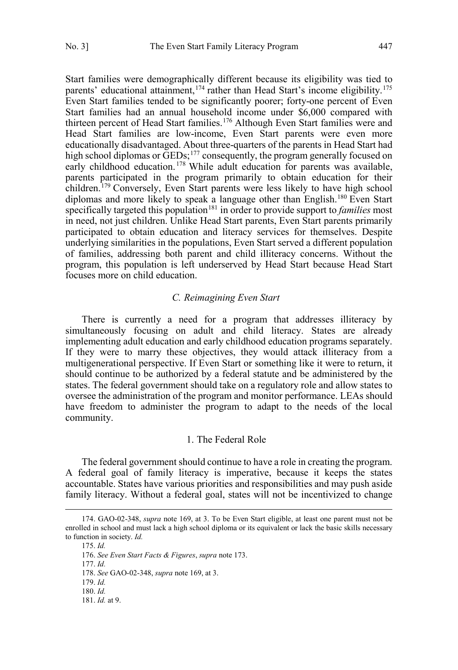<span id="page-20-0"></span>Start families were demographically different because its eligibility was tied to parents' educational attainment,  $174$  rather than Head Start's income eligibility.<sup>175</sup> Even Start families tended to be significantly poorer; forty-one percent of Even Start families had an annual household income under \$6,000 compared with thirteen percent of Head Start families.<sup>176</sup> Although Even Start families were and Head Start families are low-income, Even Start parents were even more educationally disadvantaged. About three-quarters of the parents in Head Start had high school diplomas or GEDs;<sup>177</sup> consequently, the program generally focused on early childhood education.<sup>178</sup> While adult education for parents was available, parents participated in the program primarily to obtain education for their children.<sup>179</sup> Conversely, Even Start parents were less likely to have high school diplomas and more likely to speak a language other than English.<sup>180</sup> Even Start specifically targeted this population<sup>181</sup> in order to provide support to *families* most in need, not just children. Unlike Head Start parents, Even Start parents primarily participated to obtain education and literacy services for themselves. Despite underlying similarities in the populations, Even Start served a different population of families, addressing both parent and child illiteracy concerns. Without the program, this population is left underserved by Head Start because Head Start focuses more on child education.

# *C. Reimagining Even Start*

There is currently a need for a program that addresses illiteracy by simultaneously focusing on adult and child literacy. States are already implementing adult education and early childhood education programs separately. If they were to marry these objectives, they would attack illiteracy from a multigenerational perspective. If Even Start or something like it were to return, it should continue to be authorized by a federal statute and be administered by the states. The federal government should take on a regulatory role and allow states to oversee the administration of the program and monitor performance. LEAs should have freedom to administer the program to adapt to the needs of the local community.

# 1. The Federal Role

The federal government should continue to have a role in creating the program. A federal goal of family literacy is imperative, because it keeps the states accountable. States have various priorities and responsibilities and may push aside family literacy. Without a federal goal, states will not be incentivized to change

<sup>174.</sup> GAO-02-348, *supra* note 169, at 3. To be Even Start eligible, at least one parent must not be enrolled in school and must lack a high school diploma or its equivalent or lack the basic skills necessary to function in society. *Id.*

<sup>175.</sup> *Id.*

<sup>176.</sup> *See Even Start Facts & Figures*, *supra* note 173.

<sup>177.</sup> *Id.*

<sup>178.</sup> *See* GAO-02-348, *supra* note 169, at 3.

<sup>179.</sup> *Id.* 

<sup>180.</sup> *Id.* 

<sup>181.</sup> *Id.* at 9.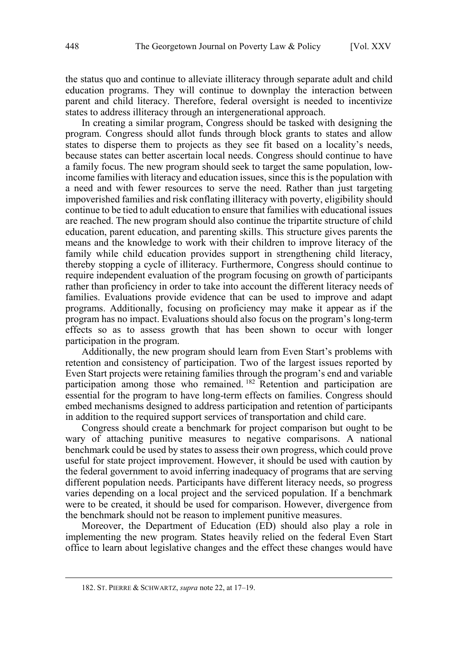the status quo and continue to alleviate illiteracy through separate adult and child education programs. They will continue to downplay the interaction between parent and child literacy. Therefore, federal oversight is needed to incentivize states to address illiteracy through an intergenerational approach.

In creating a similar program, Congress should be tasked with designing the program. Congress should allot funds through block grants to states and allow states to disperse them to projects as they see fit based on a locality's needs, because states can better ascertain local needs. Congress should continue to have a family focus. The new program should seek to target the same population, lowincome families with literacy and education issues, since this is the population with a need and with fewer resources to serve the need. Rather than just targeting impoverished families and risk conflating illiteracy with poverty, eligibility should continue to be tied to adult education to ensure that families with educational issues are reached. The new program should also continue the tripartite structure of child education, parent education, and parenting skills. This structure gives parents the means and the knowledge to work with their children to improve literacy of the family while child education provides support in strengthening child literacy, thereby stopping a cycle of illiteracy. Furthermore, Congress should continue to require independent evaluation of the program focusing on growth of participants rather than proficiency in order to take into account the different literacy needs of families. Evaluations provide evidence that can be used to improve and adapt programs. Additionally, focusing on proficiency may make it appear as if the program has no impact. Evaluations should also focus on the program's long-term effects so as to assess growth that has been shown to occur with longer participation in the program.

Additionally, the new program should learn from Even Start's problems with retention and consistency of participation. Two of the largest issues reported by Even Start projects were retaining families through the program's end and variable participation among those who remained.<sup>182</sup> Retention and participation are essential for the program to have long-term effects on families. Congress should embed mechanisms designed to address participation and retention of participants in addition to the required support services of transportation and child care.

Congress should create a benchmark for project comparison but ought to be wary of attaching punitive measures to negative comparisons. A national benchmark could be used by states to assess their own progress, which could prove useful for state project improvement. However, it should be used with caution by the federal government to avoid inferring inadequacy of programs that are serving different population needs. Participants have different literacy needs, so progress varies depending on a local project and the serviced population. If a benchmark were to be created, it should be used for comparison. However, divergence from the benchmark should not be reason to implement punitive measures.

Moreover, the Department of Education (ED) should also play a role in implementing the new program. States heavily relied on the federal Even Start office to learn about legislative changes and the effect these changes would have

<sup>182.</sup> ST. PIERRE & SCHWARTZ, *supra* note 22, at 17–19.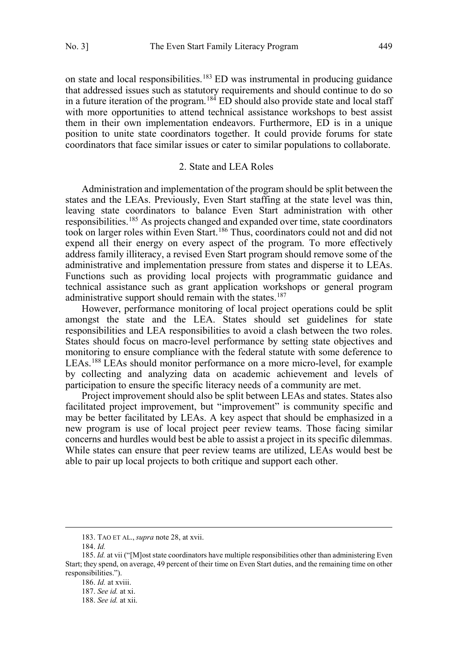<span id="page-22-0"></span>on state and local responsibilities.<sup>183</sup> ED was instrumental in producing guidance that addressed issues such as statutory requirements and should continue to do so in a future iteration of the program.  $184$  ED should also provide state and local staff with more opportunities to attend technical assistance workshops to best assist them in their own implementation endeavors. Furthermore, ED is in a unique position to unite state coordinators together. It could provide forums for state coordinators that face similar issues or cater to similar populations to collaborate.

#### 2. State and LEA Roles

Administration and implementation of the program should be split between the states and the LEAs. Previously, Even Start staffing at the state level was thin, leaving state coordinators to balance Even Start administration with other responsibilities.<sup>185</sup> As projects changed and expanded over time, state coordinators took on larger roles within Even Start.186 Thus, coordinators could not and did not expend all their energy on every aspect of the program. To more effectively address family illiteracy, a revised Even Start program should remove some of the administrative and implementation pressure from states and disperse it to LEAs. Functions such as providing local projects with programmatic guidance and technical assistance such as grant application workshops or general program administrative support should remain with the states.<sup>187</sup>

However, performance monitoring of local project operations could be split amongst the state and the LEA. States should set guidelines for state responsibilities and LEA responsibilities to avoid a clash between the two roles. States should focus on macro-level performance by setting state objectives and monitoring to ensure compliance with the federal statute with some deference to LEAs.188 LEAs should monitor performance on a more micro-level, for example by collecting and analyzing data on academic achievement and levels of participation to ensure the specific literacy needs of a community are met.

Project improvement should also be split between LEAs and states. States also facilitated project improvement, but "improvement" is community specific and may be better facilitated by LEAs. A key aspect that should be emphasized in a new program is use of local project peer review teams. Those facing similar concerns and hurdles would best be able to assist a project in its specific dilemmas. While states can ensure that peer review teams are utilized, LEAs would best be able to pair up local projects to both critique and support each other.

<sup>183.</sup> TAO ET AL., *supra* note 28, at xvii.

<sup>184.</sup> *Id.* 

<sup>185.</sup> *Id.* at vii ("[M]ost state coordinators have multiple responsibilities other than administering Even Start; they spend, on average, 49 percent of their time on Even Start duties, and the remaining time on other responsibilities.").

<sup>186.</sup> *Id.* at xviii.

<sup>187.</sup> *See id.* at xi.

<sup>188.</sup> *See id.* at xii.